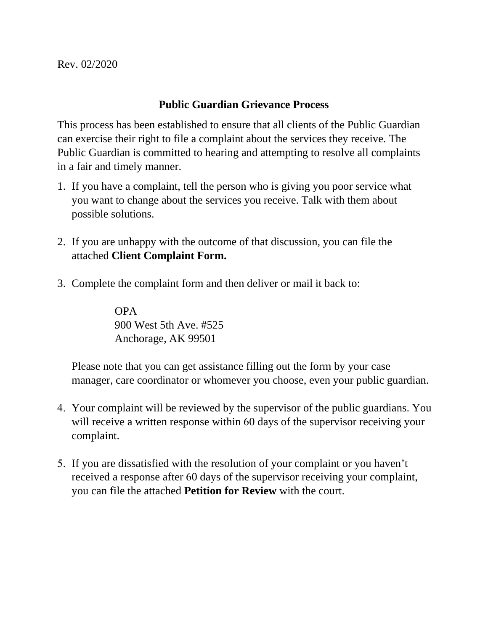Rev. 02/2020

## **Public Guardian Grievance Process**

This process has been established to ensure that all clients of the Public Guardian can exercise their right to file a complaint about the services they receive. The Public Guardian is committed to hearing and attempting to resolve all complaints in a fair and timely manner.

- 1. If you have a complaint, tell the person who is giving you poor service what you want to change about the services you receive. Talk with them about possible solutions.
- 2. If you are unhappy with the outcome of that discussion, you can file the attached **Client Complaint Form.**
- 3. Complete the complaint form and then deliver or mail it back to:

OPA 900 West 5th Ave. #525 Anchorage, AK 99501

Please note that you can get assistance filling out the form by your case manager, care coordinator or whomever you choose, even your public guardian.

- 4. Your complaint will be reviewed by the supervisor of the public guardians. You will receive a written response within 60 days of the supervisor receiving your complaint.
- 5. If you are dissatisfied with the resolution of your complaint or you haven't received a response after 60 days of the supervisor receiving your complaint, you can file the attached **Petition for Review** with the court.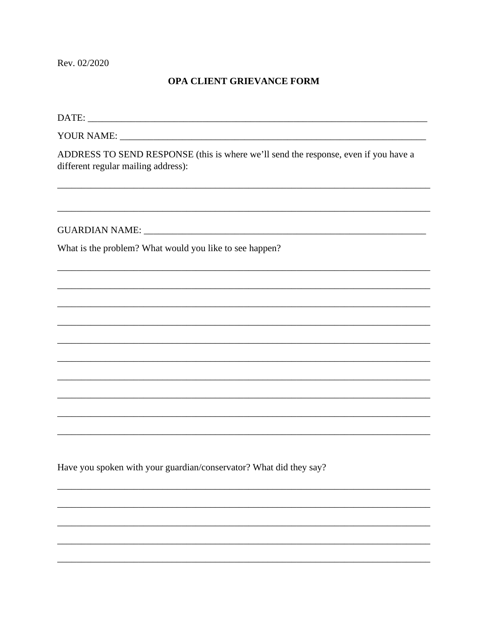Rev. 02/2020

## OPA CLIENT GRIEVANCE FORM

| ADDRESS TO SEND RESPONSE (this is where we'll send the response, even if you have a<br>different regular mailing address): |
|----------------------------------------------------------------------------------------------------------------------------|
|                                                                                                                            |
| What is the problem? What would you like to see happen?                                                                    |
|                                                                                                                            |
|                                                                                                                            |
|                                                                                                                            |
|                                                                                                                            |
|                                                                                                                            |
|                                                                                                                            |
|                                                                                                                            |
| ,我们也不能在这里的时候,我们也不能在这里的时候,我们也不能会在这里的时候,我们也不能会在这里的时候,我们也不能会在这里的时候,我们也不能会在这里的时候,我们也不                                          |
|                                                                                                                            |
|                                                                                                                            |
| Have you spoken with your guardian/conservator? What did they say?                                                         |
|                                                                                                                            |
|                                                                                                                            |
|                                                                                                                            |
|                                                                                                                            |